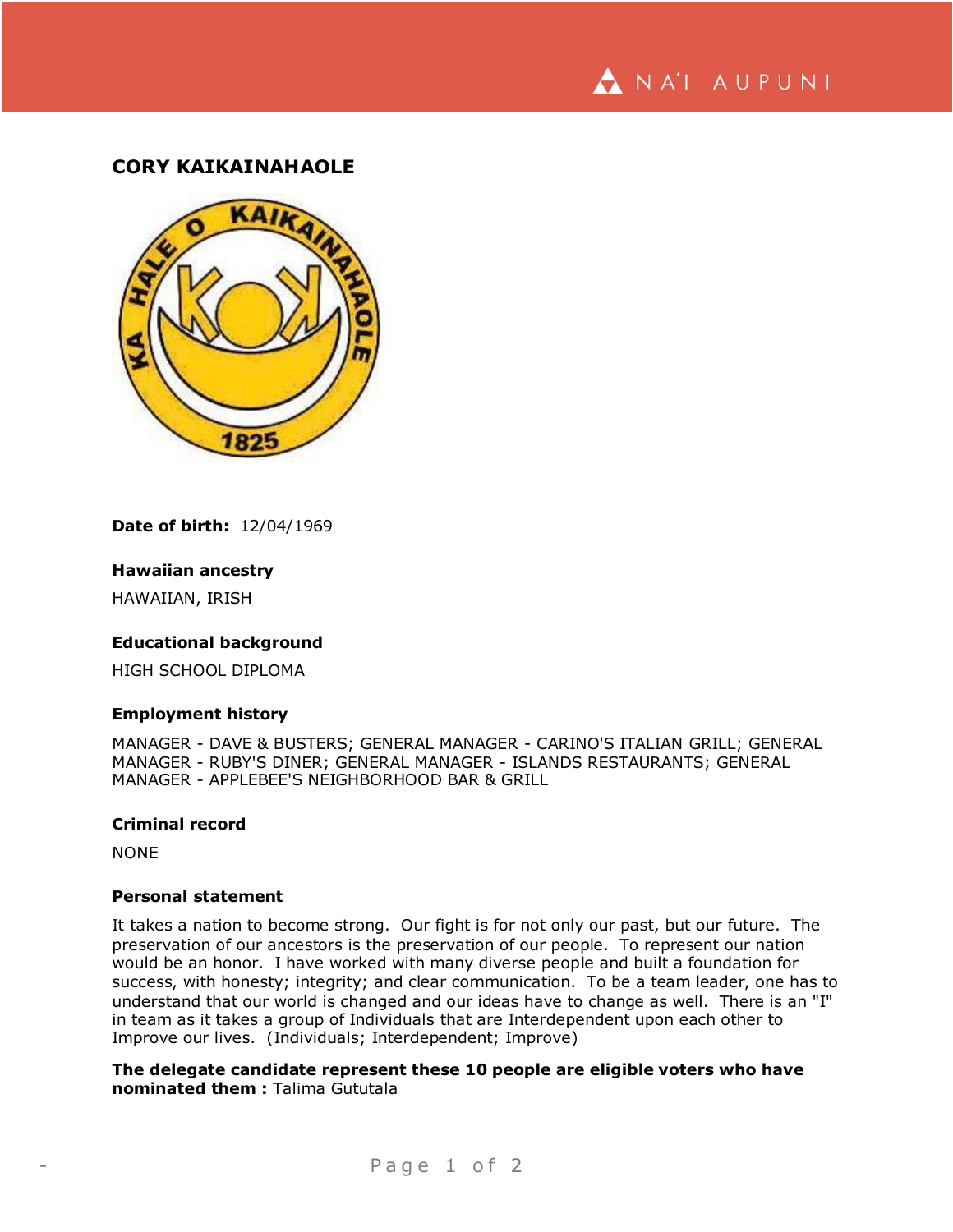

# **CORY KAIKAINAHAOLE**



**Date of birth:** 12/04/1969

## **Hawaiian ancestry**

HAWAIIAN, IRISH

## **Educational background**

HIGH SCHOOL DIPLOMA

#### **Employment history**

MANAGER - DAVE & BUSTERS; GENERAL MANAGER - CARINO'S ITALIAN GRILL; GENERAL MANAGER - RUBY'S DINER; GENERAL MANAGER - ISLANDS RESTAURANTS; GENERAL MANAGER - APPLEBEE'S NEIGHBORHOOD BAR & GRILL

## **Criminal record**

NONE

## **Personal statement**

It takes a nation to become strong. Our fight is for not only our past, but our future. The preservation of our ancestors is the preservation of our people. To represent our nation would be an honor. I have worked with many diverse people and built a foundation for success, with honesty; integrity; and clear communication. To be a team leader, one has to understand that our world is changed and our ideas have to change as well. There is an "I" in team as it takes a group of Individuals that are Interdependent upon each other to Improve our lives. (Individuals; Interdependent; Improve)

**The delegate candidate represent these 10 people are eligible voters who have nominated them :** Talima Gututala